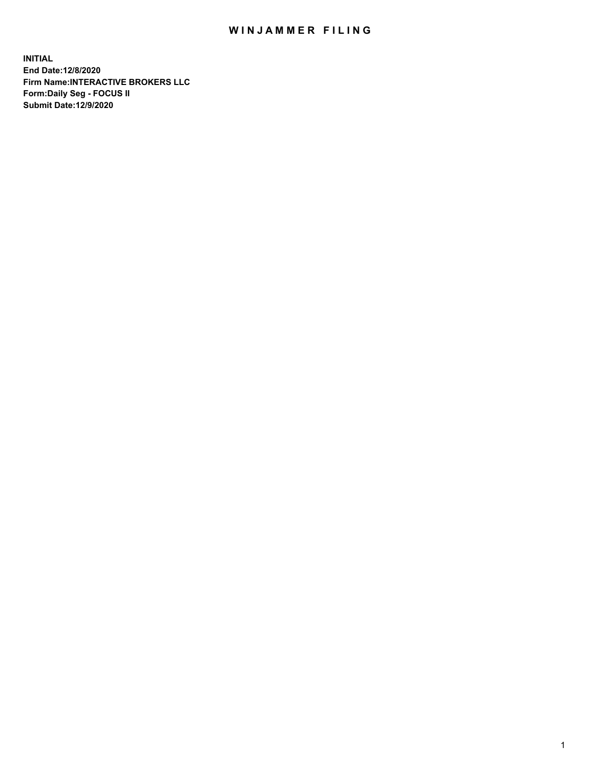## WIN JAMMER FILING

**INITIAL End Date:12/8/2020 Firm Name:INTERACTIVE BROKERS LLC Form:Daily Seg - FOCUS II Submit Date:12/9/2020**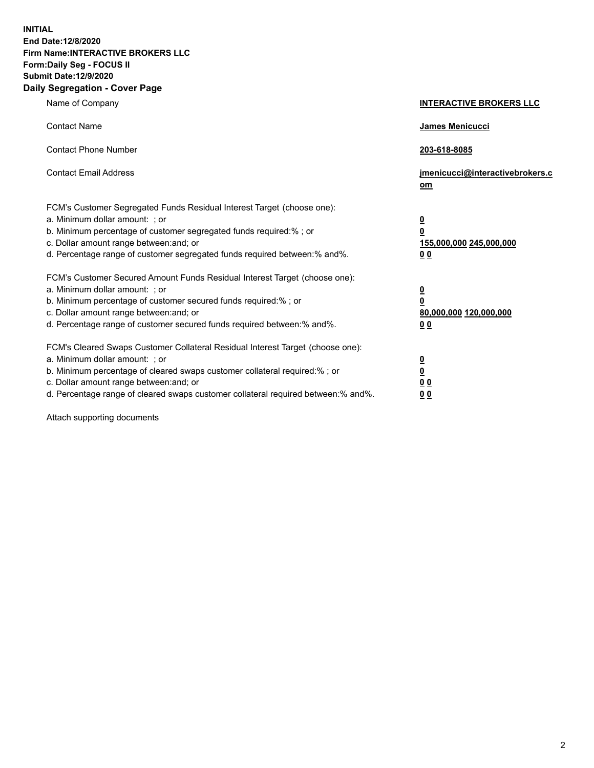**INITIAL End Date:12/8/2020 Firm Name:INTERACTIVE BROKERS LLC Form:Daily Seg - FOCUS II Submit Date:12/9/2020 Daily Segregation - Cover Page**

| Name of Company                                                                                                                                                                                                                                                                                                               | <b>INTERACTIVE BROKERS LLC</b>                                                   |  |
|-------------------------------------------------------------------------------------------------------------------------------------------------------------------------------------------------------------------------------------------------------------------------------------------------------------------------------|----------------------------------------------------------------------------------|--|
| <b>Contact Name</b>                                                                                                                                                                                                                                                                                                           | James Menicucci                                                                  |  |
| <b>Contact Phone Number</b>                                                                                                                                                                                                                                                                                                   | 203-618-8085                                                                     |  |
| <b>Contact Email Address</b>                                                                                                                                                                                                                                                                                                  | jmenicucci@interactivebrokers.c<br>om                                            |  |
| FCM's Customer Segregated Funds Residual Interest Target (choose one):<br>a. Minimum dollar amount: ; or<br>b. Minimum percentage of customer segregated funds required:% ; or<br>c. Dollar amount range between: and; or<br>d. Percentage range of customer segregated funds required between:% and%.                        | <u>0</u><br>$\overline{\mathbf{0}}$<br>155,000,000 245,000,000<br>0 <sub>0</sub> |  |
| FCM's Customer Secured Amount Funds Residual Interest Target (choose one):<br>a. Minimum dollar amount: ; or<br>b. Minimum percentage of customer secured funds required:%; or<br>c. Dollar amount range between: and; or<br>d. Percentage range of customer secured funds required between:% and%.                           | <u>0</u><br>$\overline{\mathbf{0}}$<br>80,000,000 120,000,000<br>0 <sub>0</sub>  |  |
| FCM's Cleared Swaps Customer Collateral Residual Interest Target (choose one):<br>a. Minimum dollar amount: ; or<br>b. Minimum percentage of cleared swaps customer collateral required:%; or<br>c. Dollar amount range between: and; or<br>d. Percentage range of cleared swaps customer collateral required between:% and%. | <u>0</u><br>$\underline{\mathbf{0}}$<br>0 <sub>0</sub><br>0 <sub>0</sub>         |  |

Attach supporting documents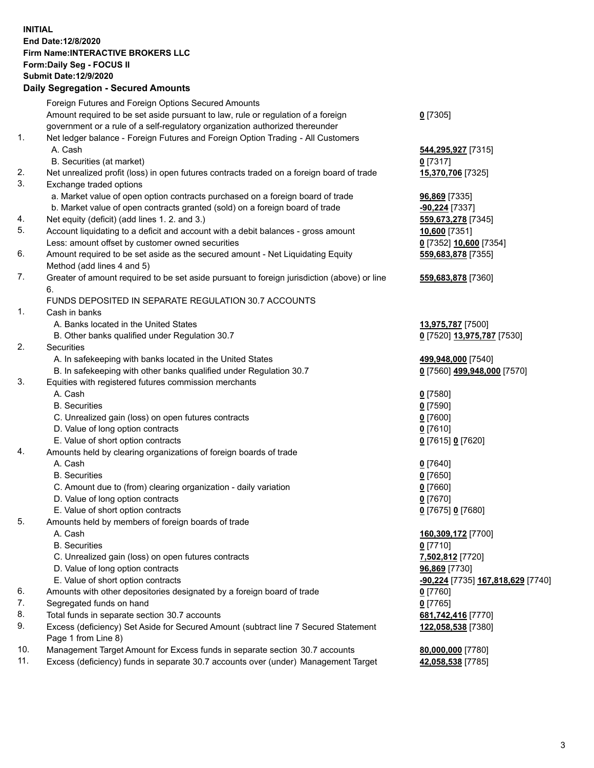**INITIAL End Date:12/8/2020 Firm Name:INTERACTIVE BROKERS LLC Form:Daily Seg - FOCUS II Submit Date:12/9/2020 Daily Segregation - Secured Amounts**

## Foreign Futures and Foreign Options Secured Amounts Amount required to be set aside pursuant to law, rule or regulation of a foreign government or a rule of a self-regulatory organization authorized thereunder **0** [7305] 1. Net ledger balance - Foreign Futures and Foreign Option Trading - All Customers A. Cash **544,295,927** [7315] B. Securities (at market) **0** [7317] 2. Net unrealized profit (loss) in open futures contracts traded on a foreign board of trade **15,370,706** [7325] 3. Exchange traded options a. Market value of open option contracts purchased on a foreign board of trade **96,869** [7335] b. Market value of open contracts granted (sold) on a foreign board of trade **-90,224** [7337] 4. Net equity (deficit) (add lines 1. 2. and 3.) **559,673,278** [7345] 5. Account liquidating to a deficit and account with a debit balances - gross amount **10,600** [7351] Less: amount offset by customer owned securities **0** [7352] **10,600** [7354] 6. Amount required to be set aside as the secured amount - Net Liquidating Equity Method (add lines 4 and 5) **559,683,878** [7355] 7. Greater of amount required to be set aside pursuant to foreign jurisdiction (above) or line 6. **559,683,878** [7360] FUNDS DEPOSITED IN SEPARATE REGULATION 30.7 ACCOUNTS 1. Cash in banks A. Banks located in the United States **13,975,787** [7500] B. Other banks qualified under Regulation 30.7 **0** [7520] **13,975,787** [7530] 2. Securities A. In safekeeping with banks located in the United States **499,948,000** [7540] B. In safekeeping with other banks qualified under Regulation 30.7 **0** [7560] **499,948,000** [7570] 3. Equities with registered futures commission merchants A. Cash **0** [7580] B. Securities **0** [7590] C. Unrealized gain (loss) on open futures contracts **0** [7600] D. Value of long option contracts **0** [7610] E. Value of short option contracts **0** [7615] **0** [7620] 4. Amounts held by clearing organizations of foreign boards of trade A. Cash **0** [7640] B. Securities **0** [7650] C. Amount due to (from) clearing organization - daily variation **0** [7660] D. Value of long option contracts **0** [7670] E. Value of short option contracts **0** [7675] **0** [7680] 5. Amounts held by members of foreign boards of trade A. Cash **160,309,172** [7700] B. Securities **0** [7710] C. Unrealized gain (loss) on open futures contracts **7,502,812** [7720] D. Value of long option contracts **96,869** [7730] E. Value of short option contracts **-90,224** [7735] **167,818,629** [7740] 6. Amounts with other depositories designated by a foreign board of trade **0** [7760] 7. Segregated funds on hand **0** [7765] 8. Total funds in separate section 30.7 accounts **681,742,416** [7770] 9. Excess (deficiency) Set Aside for Secured Amount (subtract line 7 Secured Statement Page 1 from Line 8) **122,058,538** [7380] 10. Management Target Amount for Excess funds in separate section 30.7 accounts **80,000,000** [7780] 11. Excess (deficiency) funds in separate 30.7 accounts over (under) Management Target **42,058,538** [7785]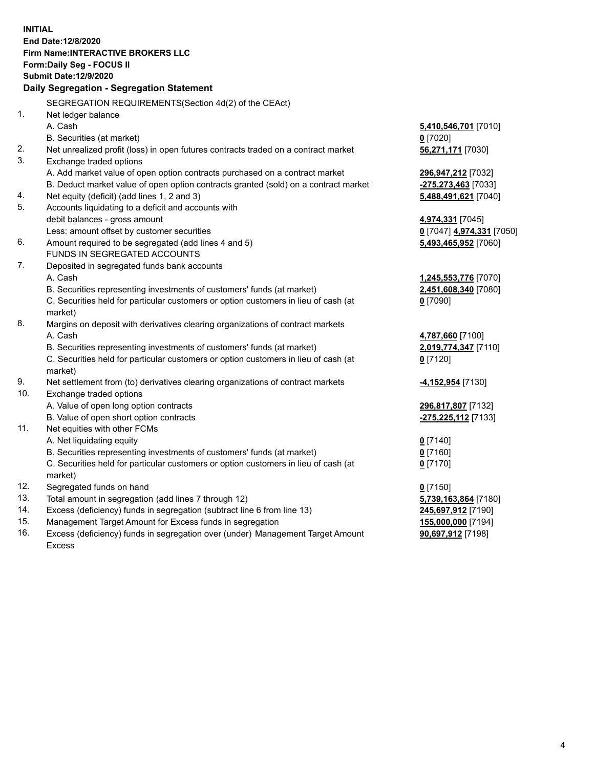**INITIAL End Date:12/8/2020 Firm Name:INTERACTIVE BROKERS LLC Form:Daily Seg - FOCUS II Submit Date:12/9/2020 Daily Segregation - Segregation Statement** SEGREGATION REQUIREMENTS(Section 4d(2) of the CEAct) 1. Net ledger balance A. Cash **5,410,546,701** [7010] B. Securities (at market) **0** [7020] 2. Net unrealized profit (loss) in open futures contracts traded on a contract market **56,271,171** [7030] 3. Exchange traded options A. Add market value of open option contracts purchased on a contract market **296,947,212** [7032] B. Deduct market value of open option contracts granted (sold) on a contract market **-275,273,463** [7033] 4. Net equity (deficit) (add lines 1, 2 and 3) **5,488,491,621** [7040] 5. Accounts liquidating to a deficit and accounts with debit balances - gross amount **4,974,331** [7045] Less: amount offset by customer securities **0** [7047] **4,974,331** [7050] 6. Amount required to be segregated (add lines 4 and 5) **5,493,465,952** [7060] FUNDS IN SEGREGATED ACCOUNTS 7. Deposited in segregated funds bank accounts A. Cash **1,245,553,776** [7070] B. Securities representing investments of customers' funds (at market) **2,451,608,340** [7080] C. Securities held for particular customers or option customers in lieu of cash (at market) **0** [7090] 8. Margins on deposit with derivatives clearing organizations of contract markets A. Cash **4,787,660** [7100] B. Securities representing investments of customers' funds (at market) **2,019,774,347** [7110] C. Securities held for particular customers or option customers in lieu of cash (at market) **0** [7120] 9. Net settlement from (to) derivatives clearing organizations of contract markets **-4,152,954** [7130] 10. Exchange traded options A. Value of open long option contracts **296,817,807** [7132] B. Value of open short option contracts **-275,225,112** [7133] 11. Net equities with other FCMs A. Net liquidating equity **0** [7140] B. Securities representing investments of customers' funds (at market) **0** [7160] C. Securities held for particular customers or option customers in lieu of cash (at market) **0** [7170] 12. Segregated funds on hand **0** [7150] 13. Total amount in segregation (add lines 7 through 12) **5,739,163,864** [7180] 14. Excess (deficiency) funds in segregation (subtract line 6 from line 13) **245,697,912** [7190] 15. Management Target Amount for Excess funds in segregation **155,000,000** [7194]

16. Excess (deficiency) funds in segregation over (under) Management Target Amount Excess

**90,697,912** [7198]